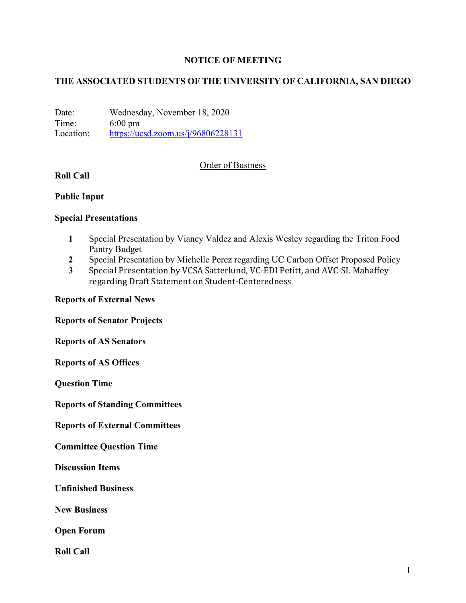### **NOTICE OF MEETING**

### **THE ASSOCIATED STUDENTS OF THE UNIVERSITY OF CALIFORNIA, SAN DIEGO**

Date: Wednesday, November 18, 2020 Time: 6:00 pm Location: https://ucsd.zoom.us/j/96806228131

#### Order of Business

## **Roll Call**

#### **Public Input**

#### **Special Presentations**

- **1** Special Presentation by Vianey Valdez and Alexis Wesley regarding the Triton Food Pantry Budget
- **2** Special Presentation by Michelle Perez regarding UC Carbon Offset Proposed Policy
- **3** Special Presentation by VCSA Satterlund, VC-EDI Petitt, and AVC-SL Mahaffey regarding Draft Statement on Student-Centeredness

#### **Reports of External News**

**Reports of Senator Projects**

**Reports of AS Senators**

**Reports of AS Offices**

**Question Time**

**Reports of Standing Committees**

**Reports of External Committees**

**Committee Question Time**

**Discussion Items**

**Unfinished Business**

**New Business**

**Open Forum**

**Roll Call**